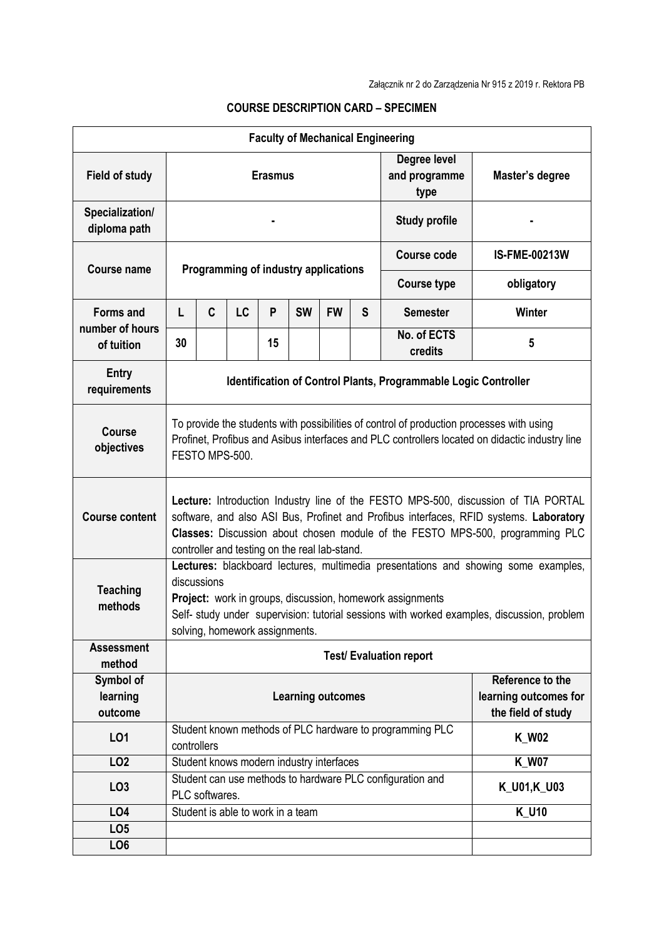| <b>Faculty of Mechanical Engineering</b> |                                                                                                                                                                                                                                                                                                                |   |                                   |    |           |           |   |                                                          |                                                                 |  |
|------------------------------------------|----------------------------------------------------------------------------------------------------------------------------------------------------------------------------------------------------------------------------------------------------------------------------------------------------------------|---|-----------------------------------|----|-----------|-----------|---|----------------------------------------------------------|-----------------------------------------------------------------|--|
| <b>Field of study</b>                    | <b>Erasmus</b>                                                                                                                                                                                                                                                                                                 |   |                                   |    |           |           |   | Degree level<br>and programme<br>type                    | Master's degree                                                 |  |
| Specialization/<br>diploma path          |                                                                                                                                                                                                                                                                                                                |   |                                   |    |           |           |   | <b>Study profile</b>                                     |                                                                 |  |
| <b>Course name</b>                       | Programming of industry applications                                                                                                                                                                                                                                                                           |   |                                   |    |           |           |   | <b>Course code</b>                                       | <b>IS-FME-00213W</b>                                            |  |
|                                          |                                                                                                                                                                                                                                                                                                                |   |                                   |    |           |           |   | <b>Course type</b>                                       | obligatory                                                      |  |
| <b>Forms and</b>                         | L                                                                                                                                                                                                                                                                                                              | C | <b>LC</b>                         | P  | <b>SW</b> | <b>FW</b> | S | <b>Semester</b>                                          | Winter                                                          |  |
| number of hours<br>of tuition            | 30                                                                                                                                                                                                                                                                                                             |   |                                   | 15 |           |           |   | No. of ECTS<br>credits                                   | 5                                                               |  |
| <b>Entry</b><br>requirements             | Identification of Control Plants, Programmable Logic Controller                                                                                                                                                                                                                                                |   |                                   |    |           |           |   |                                                          |                                                                 |  |
| Course<br>objectives                     | To provide the students with possibilities of control of production processes with using<br>Profinet, Profibus and Asibus interfaces and PLC controllers located on didactic industry line<br>FESTO MPS-500.                                                                                                   |   |                                   |    |           |           |   |                                                          |                                                                 |  |
| <b>Course content</b>                    | Lecture: Introduction Industry line of the FESTO MPS-500, discussion of TIA PORTAL<br>software, and also ASI Bus, Profinet and Profibus interfaces, RFID systems. Laboratory<br>Classes: Discussion about chosen module of the FESTO MPS-500, programming PLC<br>controller and testing on the real lab-stand. |   |                                   |    |           |           |   |                                                          |                                                                 |  |
| <b>Teaching</b><br>methods               | Lectures: blackboard lectures, multimedia presentations and showing some examples,<br>discussions<br>Project: work in groups, discussion, homework assignments<br>Self- study under supervision: tutorial sessions with worked examples, discussion, problem<br>solving, homework assignments.                 |   |                                   |    |           |           |   |                                                          |                                                                 |  |
| <b>Assessment</b><br>method              | <b>Test/ Evaluation report</b>                                                                                                                                                                                                                                                                                 |   |                                   |    |           |           |   |                                                          |                                                                 |  |
| Symbol of<br>learning<br>outcome         | <b>Learning outcomes</b>                                                                                                                                                                                                                                                                                       |   |                                   |    |           |           |   |                                                          | Reference to the<br>learning outcomes for<br>the field of study |  |
| LO1                                      | controllers                                                                                                                                                                                                                                                                                                    |   |                                   |    |           |           |   | Student known methods of PLC hardware to programming PLC | <b>K_W02</b>                                                    |  |
| LO <sub>2</sub>                          | Student knows modern industry interfaces                                                                                                                                                                                                                                                                       |   |                                   |    |           |           |   |                                                          | <b>K_W07</b>                                                    |  |
| LO <sub>3</sub>                          | Student can use methods to hardware PLC configuration and<br>PLC softwares.                                                                                                                                                                                                                                    |   |                                   |    |           |           |   | K_U01,K_U03                                              |                                                                 |  |
| LO4                                      |                                                                                                                                                                                                                                                                                                                |   | Student is able to work in a team |    |           |           |   |                                                          | <b>K_U10</b>                                                    |  |
| LO <sub>5</sub>                          |                                                                                                                                                                                                                                                                                                                |   |                                   |    |           |           |   |                                                          |                                                                 |  |
| LO <sub>6</sub>                          |                                                                                                                                                                                                                                                                                                                |   |                                   |    |           |           |   |                                                          |                                                                 |  |

## **COURSE DESCRIPTION CARD – SPECIMEN**